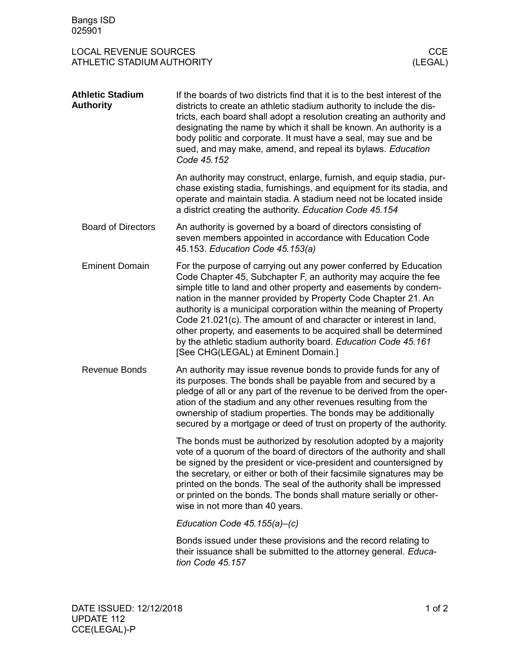## LOCAL REVENUE SOURCES<br>
ATHLETIC STADIUM AUTHORITY<br>
(LEGAL) ATHLETIC STADIUM AUTHORITY

| <b>Athletic Stadium</b><br><b>Authority</b> | If the boards of two districts find that it is to the best interest of the<br>districts to create an athletic stadium authority to include the dis-<br>tricts, each board shall adopt a resolution creating an authority and<br>designating the name by which it shall be known. An authority is a<br>body politic and corporate. It must have a seal, may sue and be<br>sued, and may make, amend, and repeal its bylaws. Education<br>Code 45.152                                                                                                                                              |
|---------------------------------------------|--------------------------------------------------------------------------------------------------------------------------------------------------------------------------------------------------------------------------------------------------------------------------------------------------------------------------------------------------------------------------------------------------------------------------------------------------------------------------------------------------------------------------------------------------------------------------------------------------|
|                                             | An authority may construct, enlarge, furnish, and equip stadia, pur-<br>chase existing stadia, furnishings, and equipment for its stadia, and<br>operate and maintain stadia. A stadium need not be located inside<br>a district creating the authority. Education Code 45.154                                                                                                                                                                                                                                                                                                                   |
| <b>Board of Directors</b>                   | An authority is governed by a board of directors consisting of<br>seven members appointed in accordance with Education Code<br>45.153. Education Code 45.153(a)                                                                                                                                                                                                                                                                                                                                                                                                                                  |
| <b>Eminent Domain</b>                       | For the purpose of carrying out any power conferred by Education<br>Code Chapter 45, Subchapter F, an authority may acquire the fee<br>simple title to land and other property and easements by condem-<br>nation in the manner provided by Property Code Chapter 21. An<br>authority is a municipal corporation within the meaning of Property<br>Code 21.021(c). The amount of and character or interest in land,<br>other property, and easements to be acquired shall be determined<br>by the athletic stadium authority board. Education Code 45.161<br>[See CHG(LEGAL) at Eminent Domain.] |
| <b>Revenue Bonds</b>                        | An authority may issue revenue bonds to provide funds for any of<br>its purposes. The bonds shall be payable from and secured by a<br>pledge of all or any part of the revenue to be derived from the oper-<br>ation of the stadium and any other revenues resulting from the<br>ownership of stadium properties. The bonds may be additionally<br>secured by a mortgage or deed of trust on property of the authority.                                                                                                                                                                          |
|                                             | The bonds must be authorized by resolution adopted by a majority<br>vote of a quorum of the board of directors of the authority and shall<br>be signed by the president or vice-president and countersigned by<br>the secretary, or either or both of their facsimile signatures may be<br>printed on the bonds. The seal of the authority shall be impressed<br>or printed on the bonds. The bonds shall mature serially or other-<br>wise in not more than 40 years.                                                                                                                           |
|                                             | Education Code $45.155(a)-(c)$                                                                                                                                                                                                                                                                                                                                                                                                                                                                                                                                                                   |
|                                             | Bonds issued under these provisions and the record relating to<br>their issuance shall be submitted to the attorney general. Educa-<br>tion Code 45.157                                                                                                                                                                                                                                                                                                                                                                                                                                          |